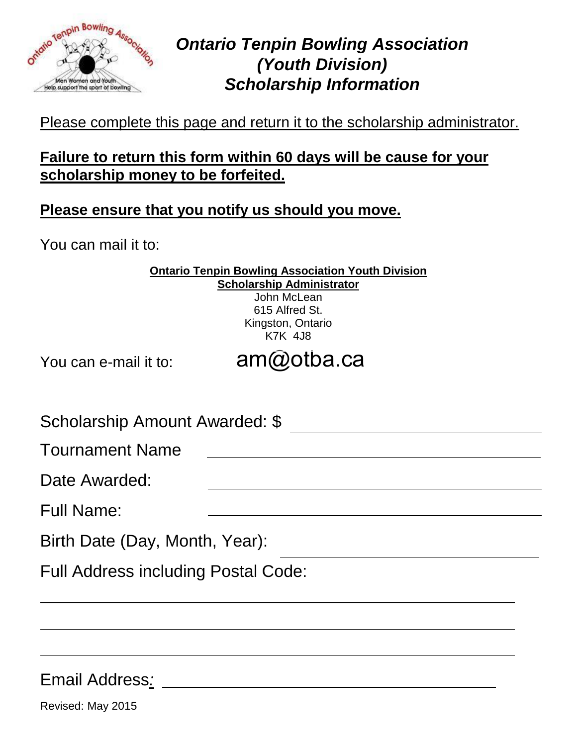

# **Tenpin Bowling Association**<br> *Maxima Association Ontario Tenpin Bowling Association (Youth Division) Scholarship Information*

## Please complete this page and return it to the scholarship administrator.

## **Failure to return this form within 60 days will be cause for your scholarship money to be forfeited.**

### **Please ensure that you notify us should you move.**

You can mail it to:

| <b>Ontario Tenpin Bowling Association Youth Division</b> |
|----------------------------------------------------------|
| <b>Scholarship Administrator</b>                         |
| John McLean                                              |
| 615 Alfred St.                                           |
| Kingston, Ontario                                        |
| <b>K7K 4J8</b>                                           |

You can e-mail it to:

[am@otba.ca](emailto:am@otba.ca)

| Scholarship Amount Awarded: \$             |  |
|--------------------------------------------|--|
| <b>Tournament Name</b>                     |  |
| Date Awarded:                              |  |
| <b>Full Name:</b>                          |  |
| Birth Date (Day, Month, Year):             |  |
| <b>Full Address including Postal Code:</b> |  |
|                                            |  |

Email Address*:* 

Revised: May 2015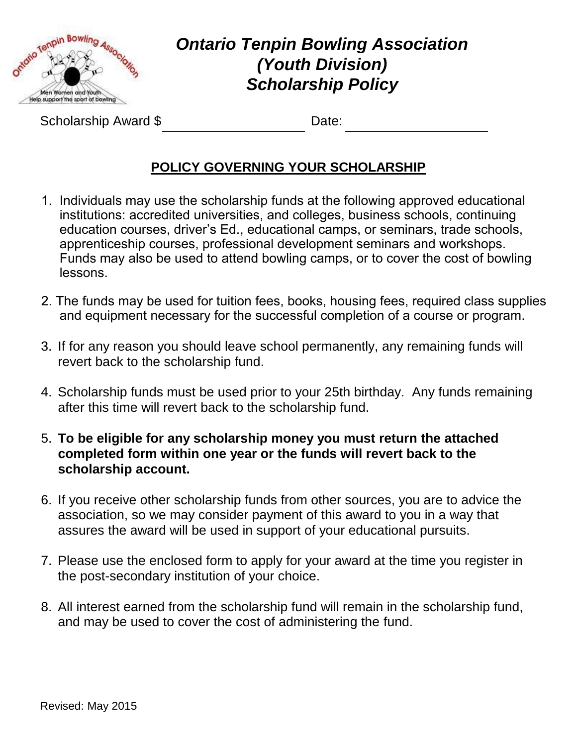

## **Ontario Tenpin Bowling Association**<br>Contario Tenpin Bowling Association (Nouth Division)  *(Youth Division) Scholarship Policy*

Scholarship Award \$ Date:

### **POLICY GOVERNING YOUR SCHOLARSHIP**

- 1. Individuals may use the scholarship funds at the following approved educational institutions: accredited universities, and colleges, business schools, continuing education courses, driver's Ed., educational camps, or seminars, trade schools, apprenticeship courses, professional development seminars and workshops. Funds may also be used to attend bowling camps, or to cover the cost of bowling lessons.
- 2. The funds may be used for tuition fees, books, housing fees, required class supplies and equipment necessary for the successful completion of a course or program.
- 3. If for any reason you should leave school permanently, any remaining funds will revert back to the scholarship fund.
- 4. Scholarship funds must be used prior to your 25th birthday. Any funds remaining after this time will revert back to the scholarship fund.
- 5. **To be eligible for any scholarship money you must return the attached completed form within one year or the funds will revert back to the scholarship account.**
- 6. If you receive other scholarship funds from other sources, you are to advice the association, so we may consider payment of this award to you in a way that assures the award will be used in support of your educational pursuits.
- 7. Please use the enclosed form to apply for your award at the time you register in the post-secondary institution of your choice.
- 8. All interest earned from the scholarship fund will remain in the scholarship fund, and may be used to cover the cost of administering the fund.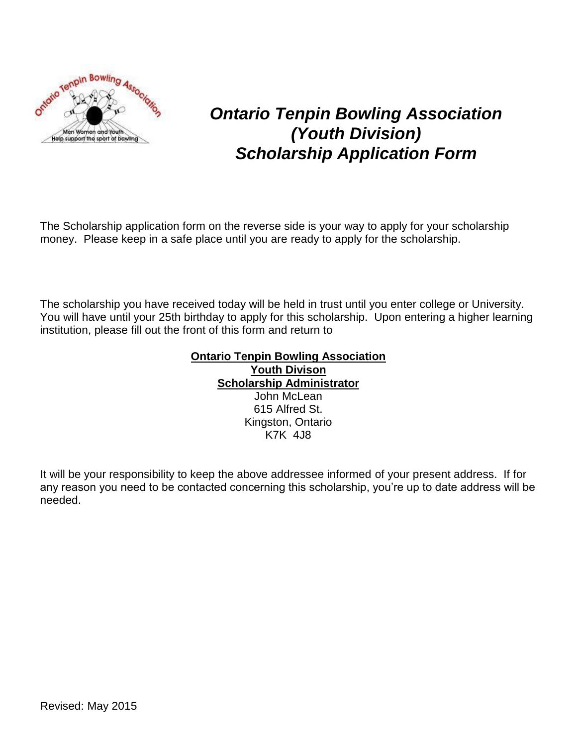

## *Ontario Tenpin Bowling Association (Youth Division) Scholarship Application Form*

The Scholarship application form on the reverse side is your way to apply for your scholarship money. Please keep in a safe place until you are ready to apply for the scholarship.

The scholarship you have received today will be held in trust until you enter college or University. You will have until your 25th birthday to apply for this scholarship. Upon entering a higher learning institution, please fill out the front of this form and return to

#### **Ontario Tenpin Bowling Association Youth Divison Scholarship Administrator** John McLean 615 Alfred St. Kingston, Ontario K7K 4J8

It will be your responsibility to keep the above addressee informed of your present address. If for any reason you need to be contacted concerning this scholarship, you're up to date address will be needed.